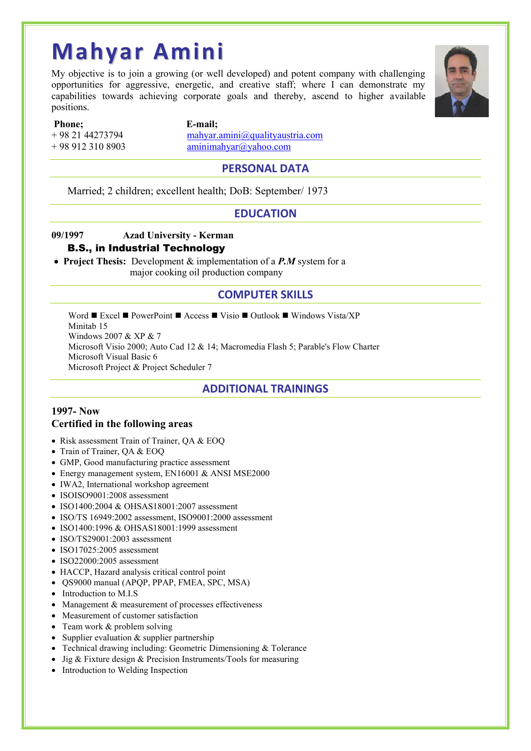# **Mahyar Amini**

My objective is to join a growing (or well developed) and potent company with challenging opportunities for aggressive, energetic, and creative staff; where I can demonstrate my capabilities towards achieving corporate goals and thereby, ascend to higher available positions.



**Phone; E-mail;**

# $+ 989123108903$  aminimahyar@yahoo.com

# + 98 21 44273794 mahyar.amini@qualityaustria.com

#### **PERSONAL DATA**

Married; 2 children; excellent health; DoB: September/ 1973

#### **EDUCATION**

### **09/1997 Azad University - Kerman**

#### **B.S., in Industrial Technology**

 **Project Thesis:** Development & implementation of a *P.M* system for a major cooking oil production company

### **COMPUTER SKILLS**

Word  $\blacksquare$  Excel  $\blacksquare$  PowerPoint  $\blacksquare$  Access  $\blacksquare$  Visio  $\blacksquare$  Outlook  $\blacksquare$  Windows Vista/XP Minitab 15 Windows 2007 & XP & 7 Microsoft Visio 2000; Auto Cad 12 & 14; Macromedia Flash 5; Parable's Flow Charter Microsoft Visual Basic 6 Microsoft Project & Project Scheduler 7

# **ADDITIONAL TRAININGS**

#### **1997- Now Certified in the following areas**

- Risk assessment Train of Trainer, OA & EOO
- Train of Trainer, QA & EOQ
- GMP, Good manufacturing practice assessment
- Energy management system, EN16001 & ANSI MSE2000
- IWA2, International workshop agreement
- ISOISO9001:2008 assessment
- ISO1400:2004 & OHSAS18001:2007 assessment
- ISO/TS 16949:2002 assessment, ISO9001:2000 assessment
- ISO1400:1996 & OHSAS18001:1999 assessment
- ISO/TS29001:2003 assessment
- $\bullet$  ISO17025:2005 assessment
- $\bullet$  ISO22000:2005 assessment
- HACCP, Hazard analysis critical control point
- OS9000 manual (APOP, PPAP, FMEA, SPC, MSA)
- Introduction to M.I.S
- Management  $&$  measurement of processes effectiveness
- Measurement of customer satisfaction
- Team work & problem solving
- Supplier evaluation  $&$  supplier partnership
- Technical drawing including: Geometric Dimensioning & Tolerance
- Jig & Fixture design & Precision Instruments/Tools for measuring
- Introduction to Welding Inspection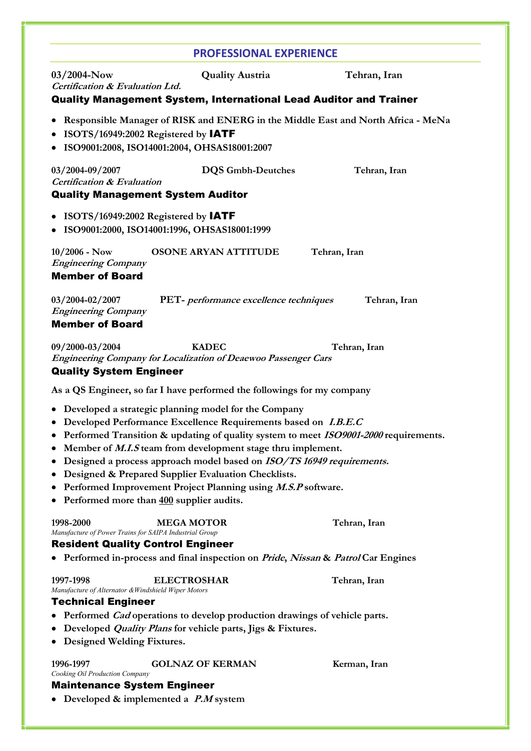|                                                                                                                       | <b>PROFESSIONAL EXPERIENCE</b>                                                                                                                                                                                                                                                                                                                                                                                                                                                             |              |
|-----------------------------------------------------------------------------------------------------------------------|--------------------------------------------------------------------------------------------------------------------------------------------------------------------------------------------------------------------------------------------------------------------------------------------------------------------------------------------------------------------------------------------------------------------------------------------------------------------------------------------|--------------|
| $03/2004 - Now$<br>Certification & Evaluation Ltd.                                                                    | <b>Quality Austria</b>                                                                                                                                                                                                                                                                                                                                                                                                                                                                     | Tehran, Iran |
|                                                                                                                       | <b>Quality Management System, International Lead Auditor and Trainer</b>                                                                                                                                                                                                                                                                                                                                                                                                                   |              |
| ISOTS/16949:2002 Registered by IATF                                                                                   | • Responsible Manager of RISK and ENERG in the Middle East and North Africa - MeNa<br>ISO9001:2008, ISO14001:2004, OHSAS18001:2007                                                                                                                                                                                                                                                                                                                                                         |              |
| 03/2004-09/2007<br><b>Certification &amp; Evaluation</b><br><b>Quality Management System Auditor</b>                  | <b>DQS</b> Gmbh-Deutches                                                                                                                                                                                                                                                                                                                                                                                                                                                                   | Tehran, Iran |
| • ISOTS/16949:2002 Registered by IATF                                                                                 | ISO9001:2000, ISO14001:1996, OHSAS18001:1999                                                                                                                                                                                                                                                                                                                                                                                                                                               |              |
| $10/2006$ - Now<br><b>Engineering Company</b><br><b>Member of Board</b>                                               | OSONE ARYAN ATTITUDE                                                                                                                                                                                                                                                                                                                                                                                                                                                                       | Tehran, Iran |
| 03/2004-02/2007<br><b>Engineering Company</b><br><b>Member of Board</b>                                               | PET- performance excellence techniques                                                                                                                                                                                                                                                                                                                                                                                                                                                     | Tehran, Iran |
| 09/2000-03/2004<br><b>Quality System Engineer</b>                                                                     | <b>KADEC</b><br><b>Engineering Company for Localization of Deaewoo Passenger Cars</b>                                                                                                                                                                                                                                                                                                                                                                                                      | Tehran, Iran |
|                                                                                                                       | As a QS Engineer, so far I have performed the followings for my company                                                                                                                                                                                                                                                                                                                                                                                                                    |              |
| $\bullet$<br>Performed more than 400 supplier audits.<br>$\bullet$                                                    | • Developed a strategic planning model for the Company<br>• Developed Performance Excellence Requirements based on I.B.E.C<br>• Performed Transition & updating of quality system to meet ISO9001-2000 requirements.<br>Member of <i>M.I.S</i> team from development stage thru implement.<br>Designed a process approach model based on ISO/TS 16949 requirements.<br>Designed & Prepared Supplier Evaluation Checklists.<br>Performed Improvement Project Planning using M.S.P software. |              |
| 1998-2000<br>Manufacture of Power Trains for SAIPA Industrial Group<br><b>Resident Quality Control Engineer</b>       | <b>MEGA MOTOR</b><br>• Performed in-process and final inspection on <i>Pride</i> , <i>Nissan &amp; Patrol</i> Car Engines                                                                                                                                                                                                                                                                                                                                                                  | Tehran, Iran |
| 1997-1998                                                                                                             | <b>ELECTROSHAR</b>                                                                                                                                                                                                                                                                                                                                                                                                                                                                         | Tehran, Iran |
| Manufacture of Alternator & Windshield Wiper Motors<br><b>Technical Engineer</b><br><b>Designed Welding Fixtures.</b> | • Performed <i>Cad</i> operations to develop production drawings of vehicle parts.<br>Developed <i>Quality Plans</i> for vehicle parts, Jigs & Fixtures.                                                                                                                                                                                                                                                                                                                                   |              |
| 1996-1997<br>Cooking Oil Production Company                                                                           | <b>GOLNAZ OF KERMAN</b>                                                                                                                                                                                                                                                                                                                                                                                                                                                                    | Kerman, Iran |
| <b>Maintenance System Engineer</b><br>• Developed & implemented a $P.M$ system                                        |                                                                                                                                                                                                                                                                                                                                                                                                                                                                                            |              |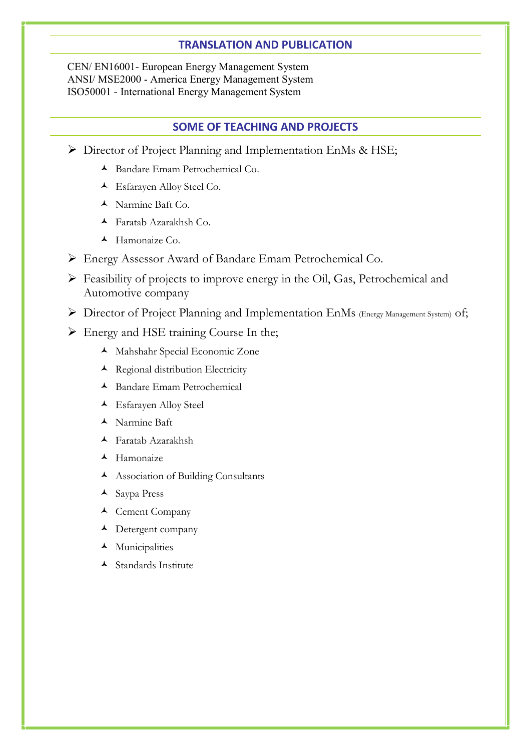#### **TRANSLATION AND PUBLICATION**

CEN/ EN16001- European Energy Management System ANSI/ MSE2000 - America Energy Management System ISO50001 - International Energy Management System

#### **SOME OF TEACHING AND PROJECTS**

- ▶ Director of Project Planning and Implementation EnMs & HSE;
	- Bandare Emam Petrochemical Co.
	- Esfarayen Alloy Steel Co.
	- Narmine Baft Co.
	- Faratab Azarakhsh Co.
	- $\blacktriangle$  Hamonaize Co.
- Energy Assessor Award of Bandare Emam Petrochemical Co.
- $\triangleright$  Feasibility of projects to improve energy in the Oil, Gas, Petrochemical and Automotive company
- Director of Project Planning and Implementation EnMs (Energy Management System) of;
- Energy and HSE training Course In the;
	- Mahshahr Special Economic Zone
	- $\blacktriangle$  Regional distribution Electricity
	- Bandare Emam Petrochemical
	- Esfarayen Alloy Steel
	- Narmine Baft
	- Faratab Azarakhsh
	- $\blacktriangle$  Hamonaize
	- Association of Building Consultants
	- $\triangle$  Saypa Press
	- Cement Company
	- $\blacktriangle$  Detergent company
	- **A** Municipalities
	- Standards Institute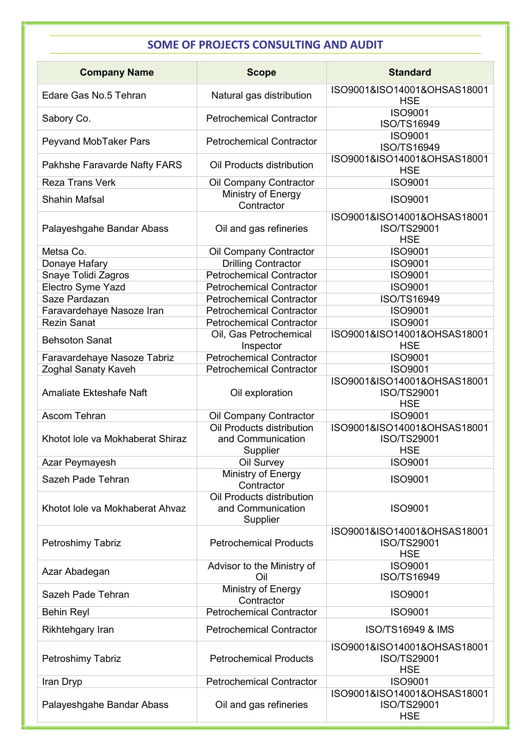# **SOME OF PROJECTS CONSULTING AND AUDIT**

| <b>Company Name</b>                                   | <b>Scope</b>                                               | <b>Standard</b>                                              |  |
|-------------------------------------------------------|------------------------------------------------------------|--------------------------------------------------------------|--|
| Edare Gas No.5 Tehran                                 | Natural gas distribution                                   | ISO9001&ISO14001&OHSAS18001<br><b>HSE</b>                    |  |
| Sabory Co.                                            | <b>Petrochemical Contractor</b>                            | <b>ISO9001</b><br>ISO/TS16949                                |  |
| Peyvand MobTaker Pars                                 | <b>Petrochemical Contractor</b>                            | <b>ISO9001</b><br>ISO/TS16949                                |  |
| Pakhshe Faravarde Nafty FARS                          | Oil Products distribution                                  | ISO9001&ISO14001&OHSAS18001<br><b>HSE</b>                    |  |
| <b>Reza Trans Verk</b><br><b>Shahin Mafsal</b>        | Oil Company Contractor<br>Ministry of Energy<br>Contractor | <b>ISO9001</b><br><b>ISO9001</b>                             |  |
| Palayeshgahe Bandar Abass                             | Oil and gas refineries                                     | ISO9001&ISO14001&OHSAS18001<br>ISO/TS29001<br><b>HSE</b>     |  |
| Metsa Co.                                             | Oil Company Contractor                                     | <b>ISO9001</b>                                               |  |
| Donaye Hafary                                         | <b>Drilling Contractor</b>                                 | <b>ISO9001</b>                                               |  |
| Snaye Tolidi Zagros                                   | <b>Petrochemical Contractor</b>                            | <b>ISO9001</b>                                               |  |
| Electro Syme Yazd                                     | <b>Petrochemical Contractor</b>                            | <b>ISO9001</b>                                               |  |
| Saze Pardazan                                         | <b>Petrochemical Contractor</b>                            | ISO/TS16949                                                  |  |
| Faravardehaye Nasoze Iran                             | <b>Petrochemical Contractor</b>                            | <b>ISO9001</b>                                               |  |
| <b>Rezin Sanat</b>                                    | <b>Petrochemical Contractor</b>                            | <b>ISO9001</b>                                               |  |
| <b>Behsoton Sanat</b>                                 | Oil, Gas Petrochemical<br>Inspector                        | ISO9001&ISO14001&OHSAS18001<br><b>HSE</b>                    |  |
| Faravardehaye Nasoze Tabriz                           | <b>Petrochemical Contractor</b>                            | <b>ISO9001</b>                                               |  |
| Zoghal Sanaty Kaveh<br><b>Amaliate Ekteshafe Naft</b> | <b>Petrochemical Contractor</b><br>Oil exploration         | <b>ISO9001</b><br>ISO9001&ISO14001&OHSAS18001<br>ISO/TS29001 |  |
|                                                       |                                                            | <b>HSE</b>                                                   |  |
| Ascom Tehran                                          | Oil Company Contractor                                     | <b>ISO9001</b><br>ISO9001&ISO14001&OHSAS18001                |  |
| Khotot lole va Mokhaberat Shiraz                      | Oil Products distribution<br>and Communication<br>Supplier | ISO/TS29001<br><b>HSE</b>                                    |  |
| Azar Peymayesh                                        | Oil Survey                                                 | <b>ISO9001</b>                                               |  |
|                                                       | Ministry of Energy                                         |                                                              |  |
| Sazeh Pade Tehran                                     | Contractor<br>Oil Products distribution                    | <b>ISO9001</b>                                               |  |
| Khotot lole va Mokhaberat Ahvaz                       | and Communication<br>Supplier                              | <b>ISO9001</b>                                               |  |
| Petroshimy Tabriz                                     | <b>Petrochemical Products</b>                              | ISO9001&ISO14001&OHSAS18001<br>ISO/TS29001<br><b>HSE</b>     |  |
| Azar Abadegan                                         | Advisor to the Ministry of<br>Oil                          | <b>ISO9001</b><br>ISO/TS16949                                |  |
| Sazeh Pade Tehran                                     | Ministry of Energy<br>Contractor                           | <b>ISO9001</b>                                               |  |
| <b>Behin Reyl</b>                                     | <b>Petrochemical Contractor</b>                            | <b>ISO9001</b>                                               |  |
| Rikhtehgary Iran                                      | <b>Petrochemical Contractor</b>                            | <b>ISO/TS16949 &amp; IMS</b>                                 |  |
| Petroshimy Tabriz                                     | <b>Petrochemical Products</b>                              | ISO9001&ISO14001&OHSAS18001<br>ISO/TS29001<br><b>HSE</b>     |  |
| Iran Dryp                                             | <b>Petrochemical Contractor</b>                            | <b>ISO9001</b>                                               |  |
| Palayeshgahe Bandar Abass                             | Oil and gas refineries                                     | ISO9001&ISO14001&OHSAS18001<br>ISO/TS29001<br><b>HSE</b>     |  |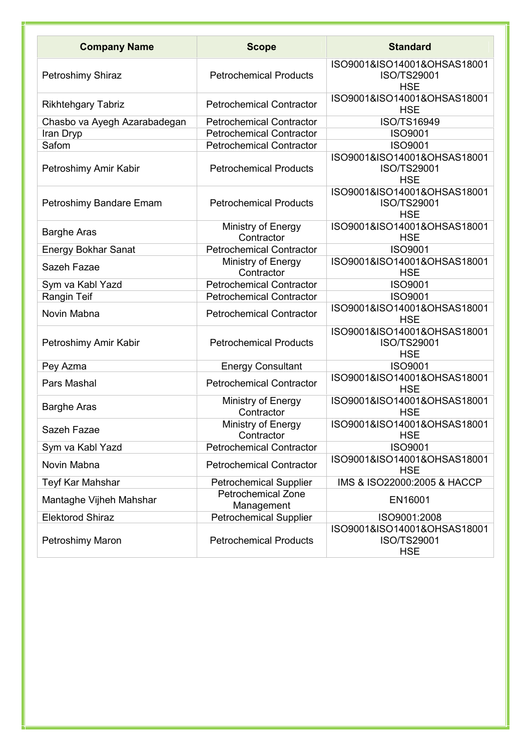| <b>Company Name</b>                       | <b>Scope</b>                                                       | <b>Standard</b>                                                 |  |
|-------------------------------------------|--------------------------------------------------------------------|-----------------------------------------------------------------|--|
| Petroshimy Shiraz                         | <b>Petrochemical Products</b>                                      | ISO9001&ISO14001&OHSAS18001<br>ISO/TS29001<br><b>HSE</b>        |  |
| <b>Rikhtehgary Tabriz</b>                 | <b>Petrochemical Contractor</b>                                    | ISO9001&ISO14001&OHSAS18001<br><b>HSE</b>                       |  |
| Chasbo va Ayegh Azarabadegan<br>Iran Dryp | <b>Petrochemical Contractor</b><br><b>Petrochemical Contractor</b> | ISO/TS16949<br><b>ISO9001</b>                                   |  |
| Safom                                     | <b>Petrochemical Contractor</b>                                    | <b>ISO9001</b><br>ISO9001&ISO14001&OHSAS18001                   |  |
| Petroshimy Amir Kabir                     | <b>Petrochemical Products</b>                                      | ISO/TS29001<br><b>HSE</b>                                       |  |
| Petroshimy Bandare Emam                   | <b>Petrochemical Products</b>                                      | ISO9001&ISO14001&OHSAS18001<br><b>ISO/TS29001</b><br><b>HSE</b> |  |
| <b>Barghe Aras</b>                        | Ministry of Energy<br>Contractor                                   | ISO9001&ISO14001&OHSAS18001<br><b>HSE</b>                       |  |
| <b>Energy Bokhar Sanat</b>                | <b>Petrochemical Contractor</b>                                    | <b>ISO9001</b>                                                  |  |
| Sazeh Fazae                               | Ministry of Energy<br>Contractor                                   | ISO9001&ISO14001&OHSAS18001<br><b>HSE</b>                       |  |
| Sym va Kabl Yazd                          | <b>Petrochemical Contractor</b>                                    | <b>ISO9001</b>                                                  |  |
| Rangin Teif                               | <b>Petrochemical Contractor</b>                                    | <b>ISO9001</b>                                                  |  |
| Novin Mabna                               | <b>Petrochemical Contractor</b>                                    | ISO9001&ISO14001&OHSAS18001<br><b>HSE</b>                       |  |
| Petroshimy Amir Kabir                     | <b>Petrochemical Products</b>                                      | ISO9001&ISO14001&OHSAS18001<br><b>ISO/TS29001</b><br><b>HSE</b> |  |
| Pey Azma                                  | <b>Energy Consultant</b>                                           | <b>ISO9001</b>                                                  |  |
| Pars Mashal                               | <b>Petrochemical Contractor</b>                                    | ISO9001&ISO14001&OHSAS18001<br><b>HSE</b>                       |  |
| <b>Barghe Aras</b>                        | Ministry of Energy<br>Contractor                                   | ISO9001&ISO14001&OHSAS18001<br><b>HSE</b>                       |  |
| Sazeh Fazae                               | Ministry of Energy<br>Contractor                                   | ISO9001&ISO14001&OHSAS18001<br><b>HSE</b>                       |  |
| Sym va Kabl Yazd                          | <b>Petrochemical Contractor</b>                                    | <b>ISO9001</b>                                                  |  |
| Novin Mabna                               | <b>Petrochemical Contractor</b>                                    | ISO9001&ISO14001&OHSAS18001<br><b>HSE</b>                       |  |
| Teyf Kar Mahshar                          | <b>Petrochemical Supplier</b>                                      | IMS & ISO22000:2005 & HACCP                                     |  |
| Mantaghe Vijheh Mahshar                   | <b>Petrochemical Zone</b><br>Management                            | EN16001                                                         |  |
| Elektorod Shiraz                          | <b>Petrochemical Supplier</b>                                      | ISO9001:2008                                                    |  |
| Petroshimy Maron                          | <b>Petrochemical Products</b>                                      | ISO9001&ISO14001&OHSAS18001<br>ISO/TS29001<br><b>HSE</b>        |  |